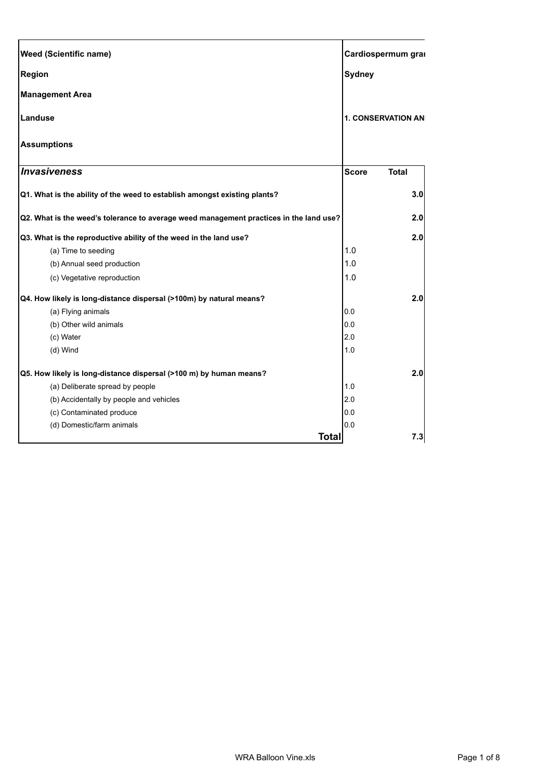| <b>Weed (Scientific name)</b>                                                          |               | Cardiospermum grai        |  |
|----------------------------------------------------------------------------------------|---------------|---------------------------|--|
| <b>Region</b>                                                                          | <b>Sydney</b> |                           |  |
| <b>Management Area</b>                                                                 |               |                           |  |
| Landuse                                                                                |               | <b>1. CONSERVATION AN</b> |  |
| <b>Assumptions</b>                                                                     |               |                           |  |
| <b>Invasiveness</b>                                                                    | <b>Score</b>  | <b>Total</b>              |  |
| Q1. What is the ability of the weed to establish amongst existing plants?              |               | 3.0                       |  |
| Q2. What is the weed's tolerance to average weed management practices in the land use? |               | 2.0                       |  |
| Q3. What is the reproductive ability of the weed in the land use?                      |               | 2.0                       |  |
| (a) Time to seeding                                                                    | 1.0           |                           |  |
| (b) Annual seed production                                                             | 1.0           |                           |  |
| (c) Vegetative reproduction                                                            | 1.0           |                           |  |
| Q4. How likely is long-distance dispersal (>100m) by natural means?                    |               | 2.0                       |  |
| (a) Flying animals                                                                     | 0.0           |                           |  |
| (b) Other wild animals                                                                 | 0.0           |                           |  |
| (c) Water                                                                              | 2.0           |                           |  |
| (d) Wind                                                                               | 1.0           |                           |  |
| Q5. How likely is long-distance dispersal (>100 m) by human means?                     |               | 2.0                       |  |
| (a) Deliberate spread by people                                                        | 1.0           |                           |  |
| (b) Accidentally by people and vehicles                                                | 2.0           |                           |  |
| (c) Contaminated produce                                                               | 0.0           |                           |  |
| (d) Domestic/farm animals                                                              | 0.0           |                           |  |
| <b>Total</b>                                                                           |               | 7.3                       |  |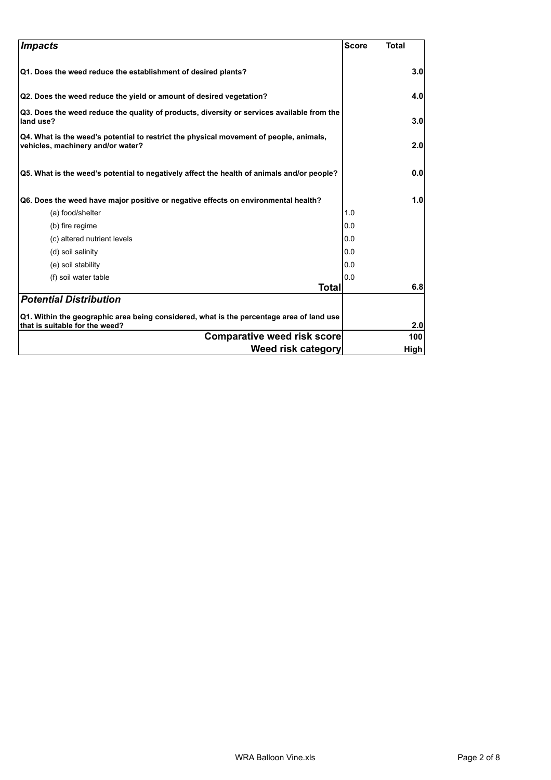| <b>Impacts</b>                                                                                                              | <b>Score</b> | <b>Total</b> |
|-----------------------------------------------------------------------------------------------------------------------------|--------------|--------------|
| Q1. Does the weed reduce the establishment of desired plants?                                                               |              | 3.0          |
| Q2. Does the weed reduce the yield or amount of desired vegetation?                                                         |              | 4.0          |
| Q3. Does the weed reduce the quality of products, diversity or services available from the<br>land use?                     |              | 3.0          |
| Q4. What is the weed's potential to restrict the physical movement of people, animals,<br>vehicles, machinery and/or water? |              | 2.0          |
| Q5. What is the weed's potential to negatively affect the health of animals and/or people?                                  |              | 0.0          |
| Q6. Does the weed have major positive or negative effects on environmental health?                                          |              | 1.0          |
| (a) food/shelter                                                                                                            | 1.0          |              |
| (b) fire regime                                                                                                             | 0.0          |              |
| (c) altered nutrient levels                                                                                                 | 0.0          |              |
| (d) soil salinity                                                                                                           | 0.0          |              |
| (e) soil stability                                                                                                          | 0.0          |              |
| (f) soil water table                                                                                                        | 0.0          |              |
| Total                                                                                                                       |              | 6.8          |
| <b>Potential Distribution</b>                                                                                               |              |              |
| Q1. Within the geographic area being considered, what is the percentage area of land use<br>that is suitable for the weed?  |              | 2.0          |
| <b>Comparative weed risk score</b>                                                                                          |              | 100          |
| Weed risk category                                                                                                          |              | High         |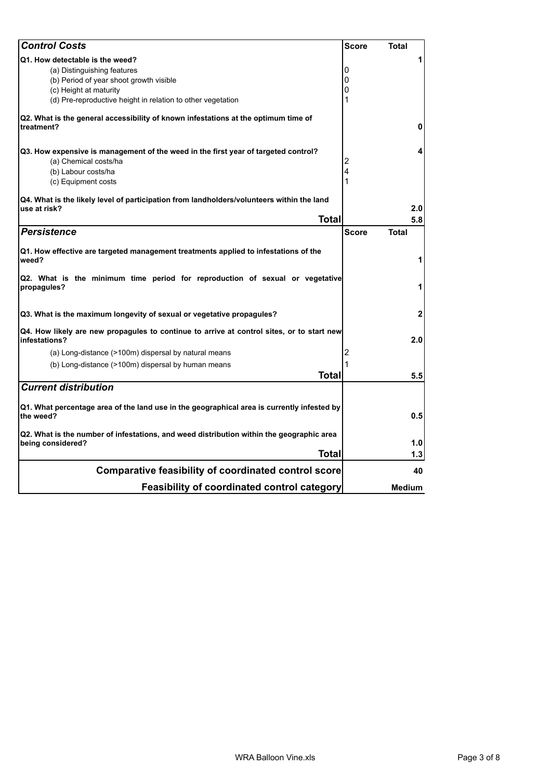| <b>Control Costs</b>                                                                                          | <b>Score</b> | <b>Total</b>   |
|---------------------------------------------------------------------------------------------------------------|--------------|----------------|
| Q1. How detectable is the weed?                                                                               |              | 1              |
| (a) Distinguishing features                                                                                   | 0            |                |
| (b) Period of year shoot growth visible                                                                       | 0            |                |
| (c) Height at maturity                                                                                        | 0            |                |
| (d) Pre-reproductive height in relation to other vegetation                                                   | 1            |                |
| Q2. What is the general accessibility of known infestations at the optimum time of<br>treatment?              |              | 0              |
| Q3. How expensive is management of the weed in the first year of targeted control?                            |              | 4              |
| (a) Chemical costs/ha                                                                                         | 2            |                |
| (b) Labour costs/ha                                                                                           | 4            |                |
| (c) Equipment costs                                                                                           |              |                |
| Q4. What is the likely level of participation from landholders/volunteers within the land<br>use at risk?     |              | 2.0            |
| <b>Total</b>                                                                                                  |              | 5.8            |
| <b>Persistence</b>                                                                                            | <b>Score</b> | Total          |
|                                                                                                               |              |                |
| Q1. How effective are targeted management treatments applied to infestations of the<br>weed?                  |              | 1              |
| Q2. What is the minimum time period for reproduction of sexual or vegetative<br>propagules?                   |              | 1              |
| Q3. What is the maximum longevity of sexual or vegetative propagules?                                         |              | $\overline{2}$ |
| Q4. How likely are new propagules to continue to arrive at control sites, or to start new<br>infestations?    |              | 2.0            |
| (a) Long-distance (>100m) dispersal by natural means                                                          | 2            |                |
| (b) Long-distance (>100m) dispersal by human means                                                            | 1            |                |
| Total                                                                                                         |              | 5.5            |
| <b>Current distribution</b>                                                                                   |              |                |
| Q1. What percentage area of the land use in the geographical area is currently infested by<br>the weed?       |              | 0.5            |
| Q2. What is the number of infestations, and weed distribution within the geographic area<br>being considered? |              | 1.0            |
| Total                                                                                                         |              | 1.3            |
| <b>Comparative feasibility of coordinated control score</b>                                                   |              | 40             |
| <b>Feasibility of coordinated control category</b>                                                            |              | Medium         |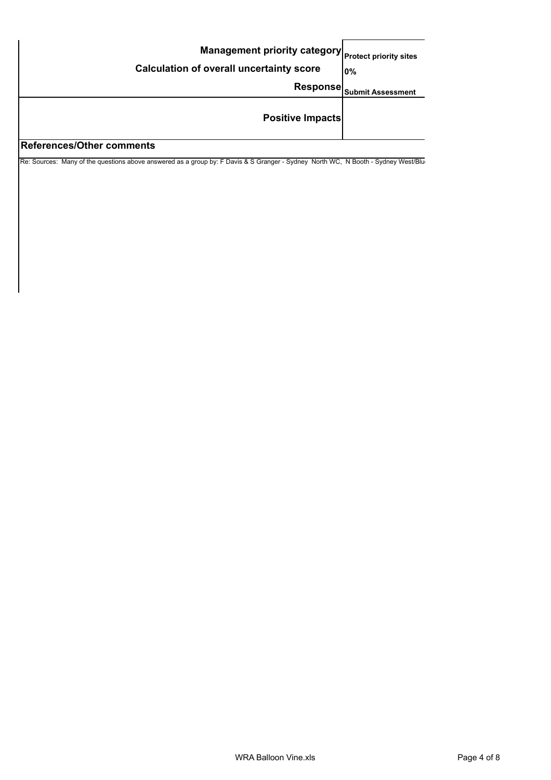| Management priority category Protect priority sites<br><b>Calculation of overall uncertainty score</b> | 10%                      |
|--------------------------------------------------------------------------------------------------------|--------------------------|
| <b>Response</b>                                                                                        | <b>Submit Assessment</b> |
| <b>Positive Impacts</b><br>$10.4$ la a un a a una una a vella                                          |                          |

## **References/Other comments**

Re: Sources: Many of the questions above answered as a group by: F Davis & S Granger - Sydney North WC, N Booth - Sydney West/Blu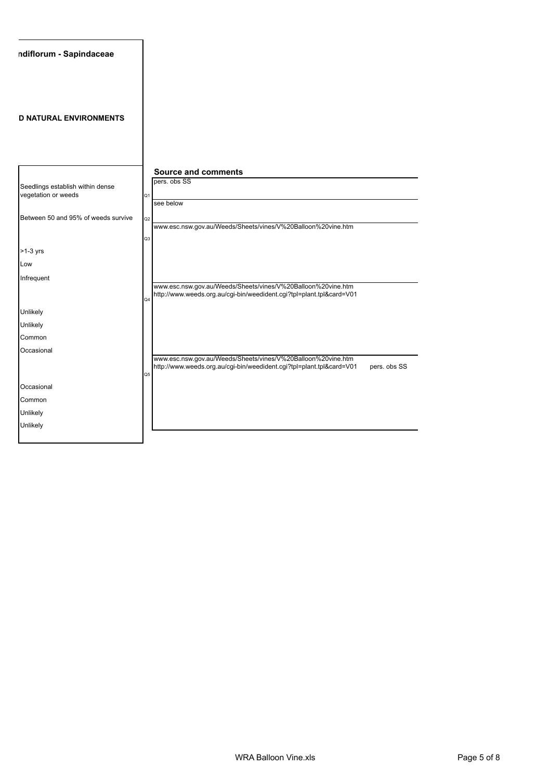| ndiflorum - Sapindaceae                                 |                                                                                                                                                                        |
|---------------------------------------------------------|------------------------------------------------------------------------------------------------------------------------------------------------------------------------|
| <b>D NATURAL ENVIRONMENTS</b>                           |                                                                                                                                                                        |
|                                                         | <b>Source and comments</b><br>pers. obs SS                                                                                                                             |
| Seedlings establish within dense<br>vegetation or weeds | Q <sub>1</sub><br>see below                                                                                                                                            |
| Between 50 and 95% of weeds survive                     | Q <sub>2</sub><br>www.esc.nsw.gov.au/Weeds/Sheets/vines/V%20Balloon%20vine.htm                                                                                         |
|                                                         | Q <sub>3</sub>                                                                                                                                                         |
| $>1-3$ yrs<br>Low                                       |                                                                                                                                                                        |
| Infrequent                                              | www.esc.nsw.gov.au/Weeds/Sheets/vines/V%20Balloon%20vine.htm<br>http://www.weeds.org.au/cgi-bin/weedident.cgi?tpl=plant.tpl&card=V01<br>Q4                             |
| Unlikely                                                |                                                                                                                                                                        |
| Unlikely                                                |                                                                                                                                                                        |
| Common                                                  |                                                                                                                                                                        |
| Occasional                                              | www.esc.nsw.gov.au/Weeds/Sheets/vines/V%20Balloon%20vine.htm<br>http://www.weeds.org.au/cgi-bin/weedident.cgi?tpl=plant.tpl&card=V01<br>pers. obs SS<br>Q <sub>5</sub> |
| Occasional                                              |                                                                                                                                                                        |
| Common                                                  |                                                                                                                                                                        |
| Unlikely                                                |                                                                                                                                                                        |
| Unlikely                                                |                                                                                                                                                                        |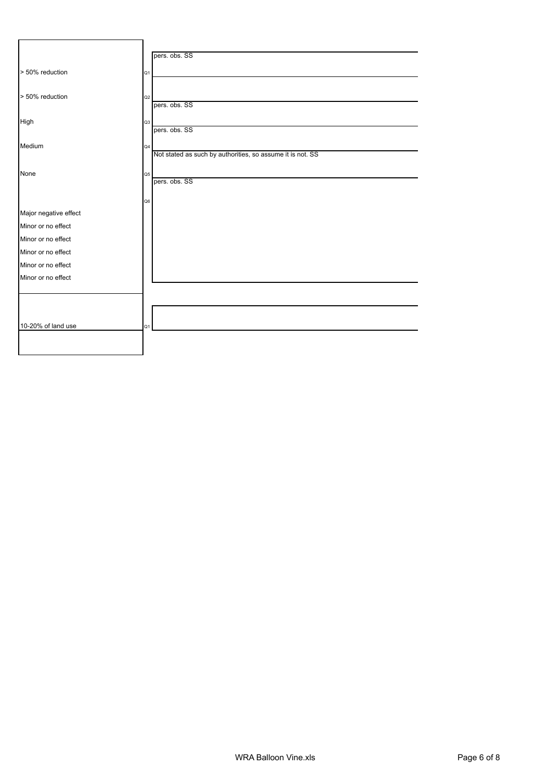|                       |    | pers. obs. SS                                              |
|-----------------------|----|------------------------------------------------------------|
| > 50% reduction       | Q1 |                                                            |
|                       |    |                                                            |
| > 50% reduction       | Q2 | pers. obs. SS                                              |
|                       |    |                                                            |
| High                  | Q3 | pers. obs. SS                                              |
|                       |    |                                                            |
| Medium                | Q4 | Not stated as such by authorities, so assume it is not. SS |
|                       |    |                                                            |
| None                  | Q5 | pers. obs. SS                                              |
|                       |    |                                                            |
|                       | Q6 |                                                            |
| Major negative effect |    |                                                            |
| Minor or no effect    |    |                                                            |
| Minor or no effect    |    |                                                            |
| Minor or no effect    |    |                                                            |
| Minor or no effect    |    |                                                            |
| Minor or no effect    |    |                                                            |
|                       |    |                                                            |
|                       |    |                                                            |
|                       |    |                                                            |
| 10-20% of land use    | Q1 |                                                            |
|                       |    |                                                            |
|                       |    |                                                            |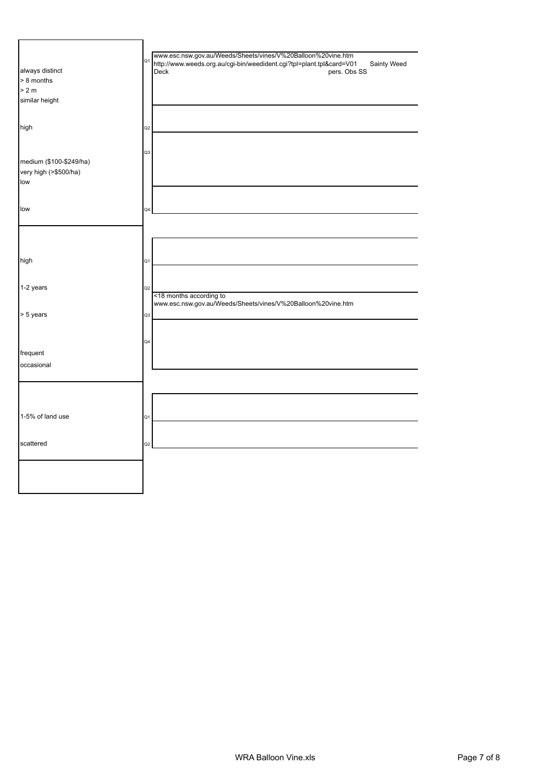| always distinct<br>> 8 months<br>> 2 m<br>similar height<br>high | Q <sub>2</sub> | www.esc.nsw.gov.au/Weeds/Sheets/vines/V%20Balloon%20vine.htm<br>of http://www.weeds.org.au/cgi-bin/weedident.cgi?tpl=plant.tpl&card=V01<br>Sainty Weed<br>Deck<br>pers. Obs SS |
|------------------------------------------------------------------|----------------|--------------------------------------------------------------------------------------------------------------------------------------------------------------------------------|
|                                                                  |                |                                                                                                                                                                                |
| medium (\$100-\$249/ha)<br>very high (>\$500/ha)<br>low          | Q3             |                                                                                                                                                                                |
| low                                                              | Q4             |                                                                                                                                                                                |
|                                                                  |                |                                                                                                                                                                                |
| high                                                             | Q1             |                                                                                                                                                                                |
| 1-2 years                                                        | Q <sub>2</sub> | <18 months according to<br>www.esc.nsw.gov.au/Weeds/Sheets/vines/V%20Balloon%20vine.htm                                                                                        |
| > 5 years                                                        | Q3             |                                                                                                                                                                                |
| frequent<br>occasional                                           | Q4             |                                                                                                                                                                                |
|                                                                  |                |                                                                                                                                                                                |
| 1-5% of land use                                                 | Q1             |                                                                                                                                                                                |
| scattered                                                        | Q <sub>2</sub> |                                                                                                                                                                                |
|                                                                  |                |                                                                                                                                                                                |